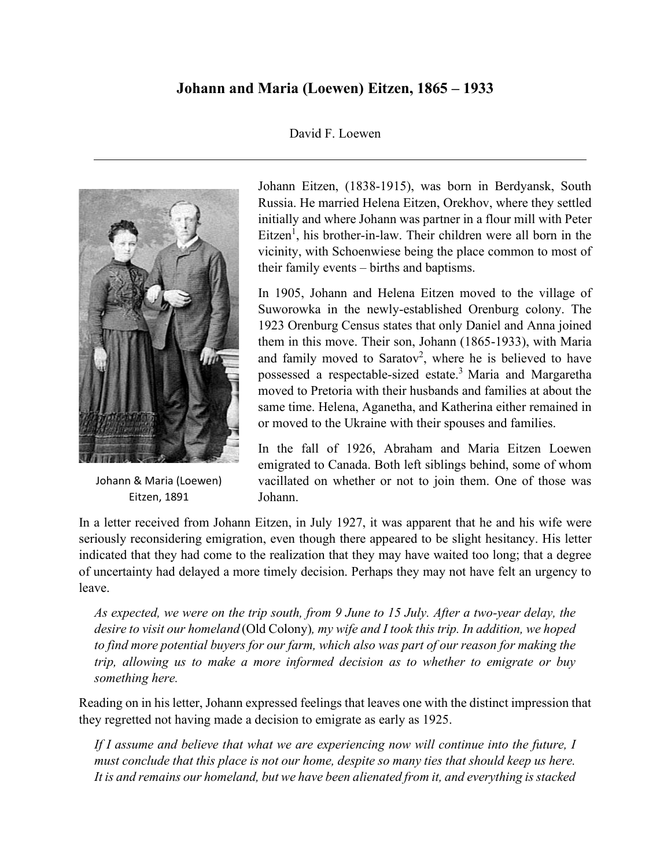# **Johann and Maria (Loewen) Eitzen, 1865 – 1933**

### David F. Loewen



Johann & Maria (Loewen) Eitzen, 1891

Johann Eitzen, (1838-1915), was born in Berdyansk, South Russia. He married Helena Eitzen, Orekhov, where they settled initially and where Johann was partner in a flour mill with Peter  $Eitzen<sup>1</sup>$ , his brother-in-law. Their children were all born in the vicinity, with Schoenwiese being the place common to most of their family events – births and baptisms.

In 1905, Johann and Helena Eitzen moved to the village of Suworowka in the newly-established Orenburg colony. The 1923 Orenburg Census states that only Daniel and Anna joined them in this move. Their son, Johann (1865-1933), with Maria and family moved to Saratov<sup>2</sup>, where he is believed to have possessed a respectable-sized estate.<sup>3</sup> Maria and Margaretha moved to Pretoria with their husbands and families at about the same time. Helena, Aganetha, and Katherina either remained in or moved to the Ukraine with their spouses and families.

In the fall of 1926, Abraham and Maria Eitzen Loewen emigrated to Canada. Both left siblings behind, some of whom vacillated on whether or not to join them. One of those was Johann.

In a letter received from Johann Eitzen, in July 1927, it was apparent that he and his wife were seriously reconsidering emigration, even though there appeared to be slight hesitancy. His letter indicated that they had come to the realization that they may have waited too long; that a degree of uncertainty had delayed a more timely decision. Perhaps they may not have felt an urgency to leave.

*As expected, we were on the trip south, from 9 June to 15 July. After a two-year delay, the desire to visit our homeland* (Old Colony)*, my wife and I took this trip. In addition, we hoped to find more potential buyers for our farm, which also was part of our reason for making the trip, allowing us to make a more informed decision as to whether to emigrate or buy something here.* 

Reading on in his letter, Johann expressed feelings that leaves one with the distinct impression that they regretted not having made a decision to emigrate as early as 1925.

*If I assume and believe that what we are experiencing now will continue into the future, I must conclude that this place is not our home, despite so many ties that should keep us here. It is and remains our homeland, but we have been alienated from it, and everything is stacked*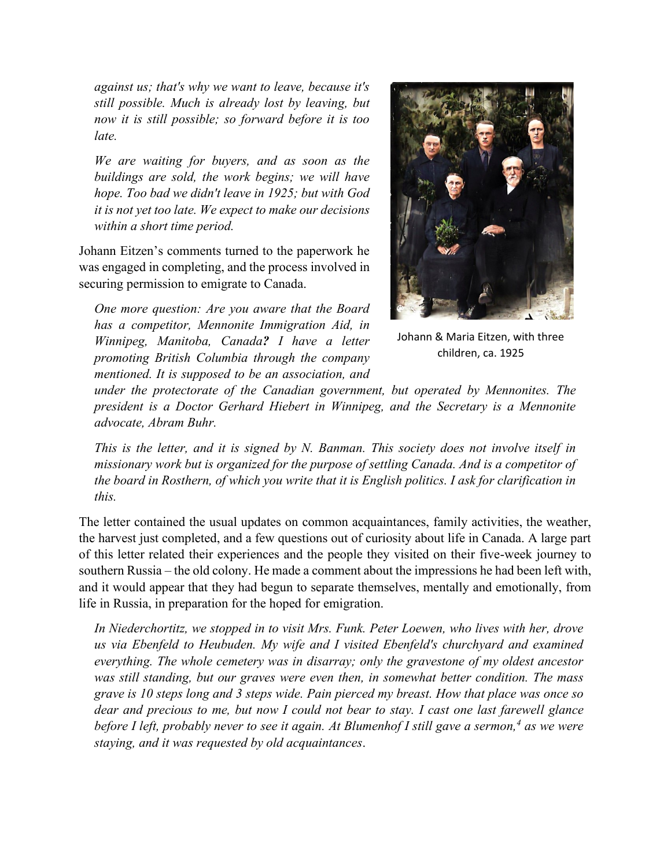*against us; that's why we want to leave, because it's still possible. Much is already lost by leaving, but now it is still possible; so forward before it is too late.*

*We are waiting for buyers, and as soon as the buildings are sold, the work begins; we will have hope. Too bad we didn't leave in 1925; but with God it is not yet too late. We expect to make our decisions within a short time period.* 

Johann Eitzen's comments turned to the paperwork he was engaged in completing, and the process involved in securing permission to emigrate to Canada.

*One more question: Are you aware that the Board has a competitor, Mennonite Immigration Aid, in Winnipeg, Manitoba, Canada? I have a letter promoting British Columbia through the company mentioned. It is supposed to be an association, and* 



Johann & Maria Eitzen, with three children, ca. 1925

*under the protectorate of the Canadian government, but operated by Mennonites. The president is a Doctor Gerhard Hiebert in Winnipeg, and the Secretary is a Mennonite advocate, Abram Buhr.*

*This is the letter, and it is signed by N. Banman. This society does not involve itself in missionary work but is organized for the purpose of settling Canada. And is a competitor of the board in Rosthern, of which you write that it is English politics. I ask for clarification in this.*

The letter contained the usual updates on common acquaintances, family activities, the weather, the harvest just completed, and a few questions out of curiosity about life in Canada. A large part of this letter related their experiences and the people they visited on their five-week journey to southern Russia – the old colony. He made a comment about the impressions he had been left with, and it would appear that they had begun to separate themselves, mentally and emotionally, from life in Russia, in preparation for the hoped for emigration.

*In Niederchortitz, we stopped in to visit Mrs. Funk. Peter Loewen, who lives with her, drove us via Ebenfeld to Heubuden. My wife and I visited Ebenfeld's churchyard and examined everything. The whole cemetery was in disarray; only the gravestone of my oldest ancestor was still standing, but our graves were even then, in somewhat better condition. The mass grave is 10 steps long and 3 steps wide. Pain pierced my breast. How that place was once so dear and precious to me, but now I could not bear to stay. I cast one last farewell glance before I left, probably never to see it again. At Blumenhof I still gave a sermon,<sup>4</sup> as we were staying, and it was requested by old acquaintances*.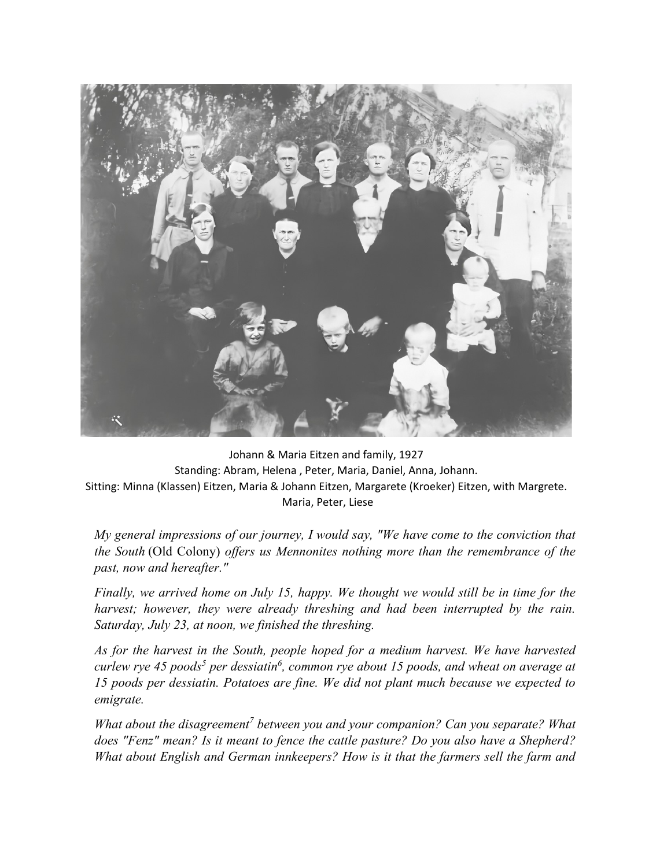

Johann & Maria Eitzen and family, 1927 Standing: Abram, Helena , Peter, Maria, Daniel, Anna, Johann. Sitting: Minna (Klassen) Eitzen, Maria & Johann Eitzen, Margarete (Kroeker) Eitzen, with Margrete. Maria, Peter, Liese

*My general impressions of our journey, I would say, "We have come to the conviction that*  $\frac{1}{2}$ *the South* (Old Colony) *offers us Mennonites nothing more than the remembrance of the past, now and hereafter."* 

*Finally, we arrived home on July 15, happy. We thought we would still be in time for the harvest; however, they were already threshing and had been interrupted by the rain. Saturday, July 23, at noon, we finished the threshing.* 

*As for the harvest in the South, people hoped for a medium harvest. We have harvested curlew rye 45 poods<sup>5</sup> per dessiatin<sup>6</sup>, common rye about 15 poods, and wheat on average at 15 poods per dessiatin. Potatoes are fine. We did not plant much because we expected to emigrate.*

*What about the disagreement<sup>7</sup> between you and your companion? Can you separate? What does "Fenz" mean? Is it meant to fence the cattle pasture? Do you also have a Shepherd? What about English and German innkeepers? How is it that the farmers sell the farm and*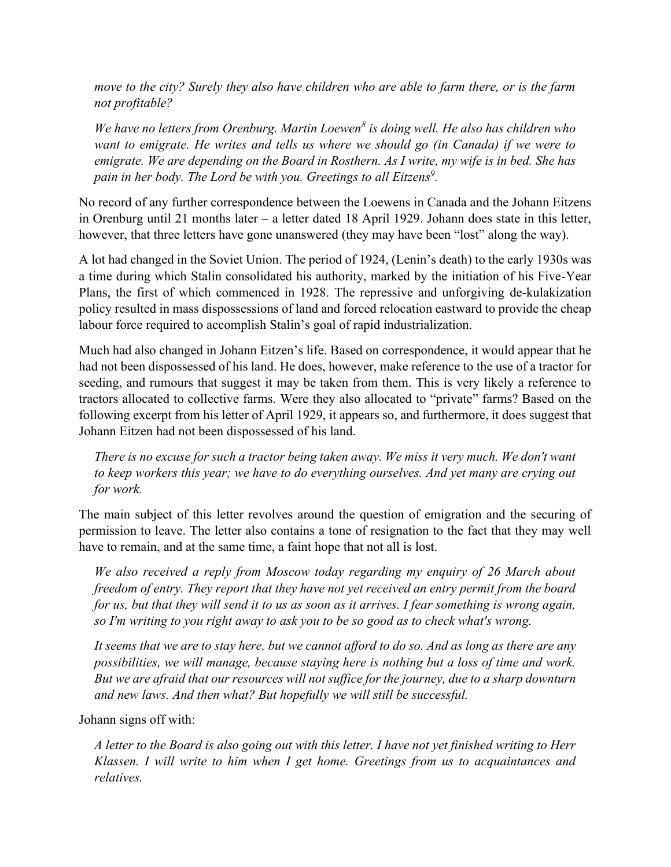*move to the city? Surely they also have children who are able to farm there, or is the farm not profitable?*

*We have no letters from Orenburg. Martin Loewen<sup>8</sup> is doing well. He also has children who want to emigrate. He writes and tells us where we should go (in Canada) if we were to emigrate. We are depending on the Board in Rosthern. As I write, my wife is in bed. She has*  pain in her body. The Lord be with you. Greetings to all Eitzens<sup>9</sup>.

No record of any further correspondence between the Loewens in Canada and the Johann Eitzens in Orenburg until 21 months later – a letter dated 18 April 1929. Johann does state in this letter, however, that three letters have gone unanswered (they may have been "lost" along the way).

A lot had changed in the Soviet Union. The period of 1924, (Lenin's death) to the early 1930s was a time during which Stalin consolidated his authority, marked by the initiation of his Five-Year Plans, the first of which commenced in 1928. The repressive and unforgiving de-kulakization policy resulted in mass dispossessions of land and forced relocation eastward to provide the cheap labour force required to accomplish Stalin's goal of rapid industrialization.

Much had also changed in Johann Eitzen's life. Based on correspondence, it would appear that he had not been dispossessed of his land. He does, however, make reference to the use of a tractor for seeding, and rumours that suggest it may be taken from them. This is very likely a reference to tractors allocated to collective farms. Were they also allocated to "private" farms? Based on the following excerpt from his letter of April 1929, it appears so, and furthermore, it does suggest that Johann Eitzen had not been dispossessed of his land.

*There is no excuse for such a tractor being taken away. We miss it very much. We don't want to keep workers this year; we have to do everything ourselves. And yet many are crying out for work.* 

The main subject of this letter revolves around the question of emigration and the securing of permission to leave. The letter also contains a tone of resignation to the fact that they may well have to remain, and at the same time, a faint hope that not all is lost.

*We also received a reply from Moscow today regarding my enquiry of 26 March about freedom of entry. They report that they have not yet received an entry permit from the board for us, but that they will send it to us as soon as it arrives. I fear something is wrong again, so I'm writing to you right away to ask you to be so good as to check what's wrong.*

*It seems that we are to stay here, but we cannot afford to do so. And as long as there are any possibilities, we will manage, because staying here is nothing but a loss of time and work. But we are afraid that our resources will not suffice for the journey, due to a sharp downturn and new laws. And then what? But hopefully we will still be successful.*

Johann signs off with:

*A letter to the Board is also going out with this letter. I have not yet finished writing to Herr Klassen. I will write to him when I get home. Greetings from us to acquaintances and relatives.*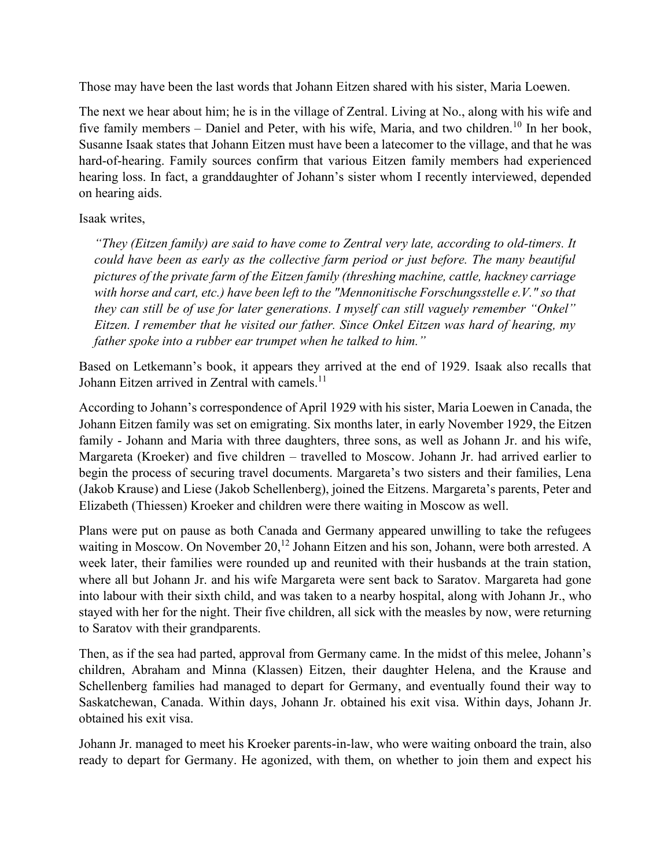Those may have been the last words that Johann Eitzen shared with his sister, Maria Loewen.

The next we hear about him; he is in the village of Zentral. Living at No., along with his wife and five family members – Daniel and Peter, with his wife, Maria, and two children.<sup>10</sup> In her book, Susanne Isaak states that Johann Eitzen must have been a latecomer to the village, and that he was hard-of-hearing. Family sources confirm that various Eitzen family members had experienced hearing loss. In fact, a granddaughter of Johann's sister whom I recently interviewed, depended on hearing aids.

## Isaak writes,

*"They (Eitzen family) are said to have come to Zentral very late, according to old-timers. It could have been as early as the collective farm period or just before. The many beautiful pictures of the private farm of the Eitzen family (threshing machine, cattle, hackney carriage with horse and cart, etc.) have been left to the "Mennonitische Forschungsstelle e.V." so that they can still be of use for later generations. I myself can still vaguely remember "Onkel" Eitzen. I remember that he visited our father. Since Onkel Eitzen was hard of hearing, my father spoke into a rubber ear trumpet when he talked to him."*

Based on Letkemann's book, it appears they arrived at the end of 1929. Isaak also recalls that Johann Eitzen arrived in Zentral with camels.<sup>11</sup>

According to Johann's correspondence of April 1929 with his sister, Maria Loewen in Canada, the Johann Eitzen family was set on emigrating. Six months later, in early November 1929, the Eitzen family - Johann and Maria with three daughters, three sons, as well as Johann Jr. and his wife, Margareta (Kroeker) and five children – travelled to Moscow. Johann Jr. had arrived earlier to begin the process of securing travel documents. Margareta's two sisters and their families, Lena (Jakob Krause) and Liese (Jakob Schellenberg), joined the Eitzens. Margareta's parents, Peter and Elizabeth (Thiessen) Kroeker and children were there waiting in Moscow as well.

Plans were put on pause as both Canada and Germany appeared unwilling to take the refugees waiting in Moscow. On November  $20<sup>12</sup>$  Johann Eitzen and his son, Johann, were both arrested. A week later, their families were rounded up and reunited with their husbands at the train station, where all but Johann Jr. and his wife Margareta were sent back to Saratov. Margareta had gone into labour with their sixth child, and was taken to a nearby hospital, along with Johann Jr., who stayed with her for the night. Their five children, all sick with the measles by now, were returning to Saratov with their grandparents.

Then, as if the sea had parted, approval from Germany came. In the midst of this melee, Johann's children, Abraham and Minna (Klassen) Eitzen, their daughter Helena, and the Krause and Schellenberg families had managed to depart for Germany, and eventually found their way to Saskatchewan, Canada. Within days, Johann Jr. obtained his exit visa. Within days, Johann Jr. obtained his exit visa.

Johann Jr. managed to meet his Kroeker parents-in-law, who were waiting onboard the train, also ready to depart for Germany. He agonized, with them, on whether to join them and expect his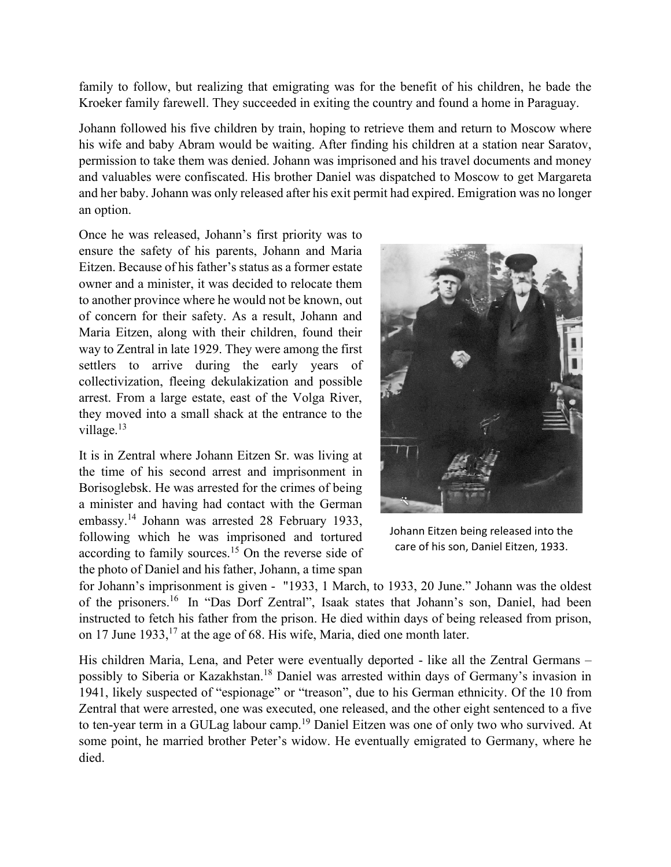family to follow, but realizing that emigrating was for the benefit of his children, he bade the Kroeker family farewell. They succeeded in exiting the country and found a home in Paraguay.

Johann followed his five children by train, hoping to retrieve them and return to Moscow where his wife and baby Abram would be waiting. After finding his children at a station near Saratov, permission to take them was denied. Johann was imprisoned and his travel documents and money and valuables were confiscated. His brother Daniel was dispatched to Moscow to get Margareta and her baby. Johann was only released after his exit permit had expired. Emigration was no longer an option.

Once he was released, Johann's first priority was to ensure the safety of his parents, Johann and Maria Eitzen. Because of his father's status as a former estate owner and a minister, it was decided to relocate them to another province where he would not be known, out of concern for their safety. As a result, Johann and Maria Eitzen, along with their children, found their way to Zentral in late 1929. They were among the first settlers to arrive during the early years of collectivization, fleeing dekulakization and possible arrest. From a large estate, east of the Volga River, they moved into a small shack at the entrance to the village. $13$ 

It is in Zentral where Johann Eitzen Sr. was living at the time of his second arrest and imprisonment in Borisoglebsk. He was arrested for the crimes of being a minister and having had contact with the German embassy.<sup>14</sup> Johann was arrested 28 February 1933, following which he was imprisoned and tortured according to family sources.<sup>15</sup> On the reverse side of the photo of Daniel and his father, Johann, a time span



Johann Eitzen being released into the care of his son, Daniel Eitzen, 1933.

for Johann's imprisonment is given - "1933, 1 March, to 1933, 20 June." Johann was the oldest of the prisoners.<sup>16</sup> In "Das Dorf Zentral", Isaak states that Johann's son, Daniel, had been instructed to fetch his father from the prison. He died within days of being released from prison, on 17 June  $1933$ ,  $17$  at the age of 68. His wife, Maria, died one month later.

His children Maria, Lena, and Peter were eventually deported - like all the Zentral Germans – possibly to Siberia or Kazakhstan.<sup>18</sup> Daniel was arrested within days of Germany's invasion in 1941, likely suspected of "espionage" or "treason", due to his German ethnicity. Of the 10 from Zentral that were arrested, one was executed, one released, and the other eight sentenced to a five to ten-year term in a GULag labour camp.<sup>19</sup> Daniel Eitzen was one of only two who survived. At some point, he married brother Peter's widow. He eventually emigrated to Germany, where he died.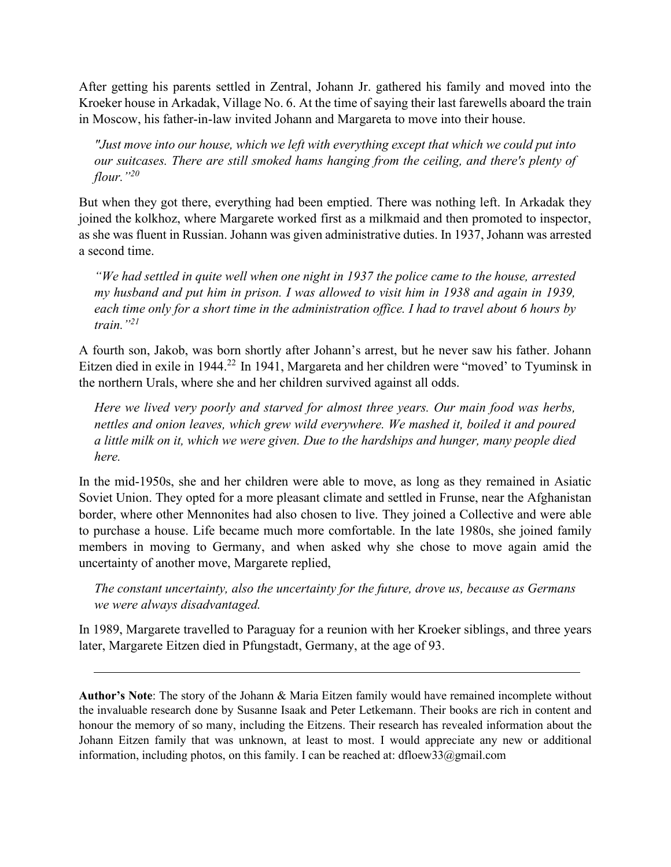After getting his parents settled in Zentral, Johann Jr. gathered his family and moved into the Kroeker house in Arkadak, Village No. 6. At the time of saying their last farewells aboard the train in Moscow, his father-in-law invited Johann and Margareta to move into their house.

*"Just move into our house, which we left with everything except that which we could put into our suitcases. There are still smoked hams hanging from the ceiling, and there's plenty of flour." 20*

But when they got there, everything had been emptied. There was nothing left. In Arkadak they joined the kolkhoz, where Margarete worked first as a milkmaid and then promoted to inspector, as she was fluent in Russian. Johann was given administrative duties. In 1937, Johann was arrested a second time.

*"We had settled in quite well when one night in 1937 the police came to the house, arrested my husband and put him in prison. I was allowed to visit him in 1938 and again in 1939, each time only for a short time in the administration office. I had to travel about 6 hours by train."<sup>21</sup>*

A fourth son, Jakob, was born shortly after Johann's arrest, but he never saw his father. Johann Eitzen died in exile in 1944.<sup>22</sup> In 1941, Margareta and her children were "moved' to Tyuminsk in the northern Urals, where she and her children survived against all odds.

*Here we lived very poorly and starved for almost three years. Our main food was herbs, nettles and onion leaves, which grew wild everywhere. We mashed it, boiled it and poured a little milk on it, which we were given. Due to the hardships and hunger, many people died here.*

In the mid-1950s, she and her children were able to move, as long as they remained in Asiatic Soviet Union. They opted for a more pleasant climate and settled in Frunse, near the Afghanistan border, where other Mennonites had also chosen to live. They joined a Collective and were able to purchase a house. Life became much more comfortable. In the late 1980s, she joined family members in moving to Germany, and when asked why she chose to move again amid the uncertainty of another move, Margarete replied,

*The constant uncertainty, also the uncertainty for the future, drove us, because as Germans we were always disadvantaged.*

In 1989, Margarete travelled to Paraguay for a reunion with her Kroeker siblings, and three years later, Margarete Eitzen died in Pfungstadt, Germany, at the age of 93.

**Author's Note**: The story of the Johann & Maria Eitzen family would have remained incomplete without the invaluable research done by Susanne Isaak and Peter Letkemann. Their books are rich in content and honour the memory of so many, including the Eitzens. Their research has revealed information about the Johann Eitzen family that was unknown, at least to most. I would appreciate any new or additional information, including photos, on this family. I can be reached at: dfloew33@gmail.com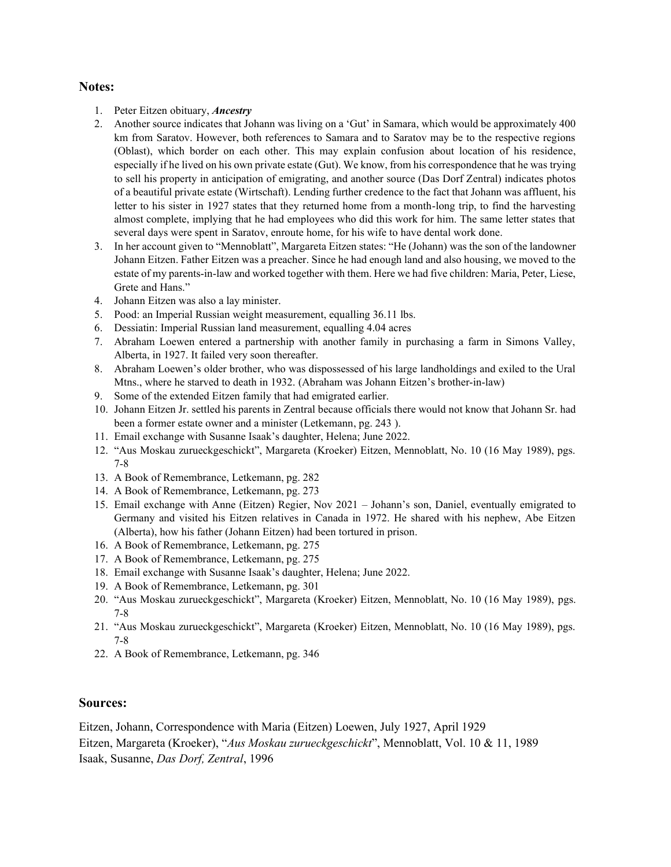#### **Notes:**

- 1. Peter Eitzen obituary, *Ancestry*
- 2. Another source indicates that Johann was living on a 'Gut' in Samara, which would be approximately 400 km from Saratov. However, both references to Samara and to Saratov may be to the respective regions (Oblast), which border on each other. This may explain confusion about location of his residence, especially if he lived on his own private estate (Gut). We know, from his correspondence that he was trying to sell his property in anticipation of emigrating, and another source (Das Dorf Zentral) indicates photos of a beautiful private estate (Wirtschaft). Lending further credence to the fact that Johann was affluent, his letter to his sister in 1927 states that they returned home from a month-long trip, to find the harvesting almost complete, implying that he had employees who did this work for him. The same letter states that several days were spent in Saratov, enroute home, for his wife to have dental work done.
- 3. In her account given to "Mennoblatt", Margareta Eitzen states: "He (Johann) was the son of the landowner Johann Eitzen. Father Eitzen was a preacher. Since he had enough land and also housing, we moved to the estate of my parents-in-law and worked together with them. Here we had five children: Maria, Peter, Liese, Grete and Hans."
- 4. Johann Eitzen was also a lay minister.
- 5. Pood: an Imperial Russian weight measurement, equalling 36.11 lbs.
- 6. Dessiatin: Imperial Russian land measurement, equalling 4.04 acres
- 7. Abraham Loewen entered a partnership with another family in purchasing a farm in Simons Valley, Alberta, in 1927. It failed very soon thereafter.
- 8. Abraham Loewen's older brother, who was dispossessed of his large landholdings and exiled to the Ural Mtns., where he starved to death in 1932. (Abraham was Johann Eitzen's brother-in-law)
- 9. Some of the extended Eitzen family that had emigrated earlier.
- 10. Johann Eitzen Jr. settled his parents in Zentral because officials there would not know that Johann Sr. had been a former estate owner and a minister (Letkemann, pg. 243 ).
- 11. Email exchange with Susanne Isaak's daughter, Helena; June 2022.
- 12. "Aus Moskau zurueckgeschickt", Margareta (Kroeker) Eitzen, Mennoblatt, No. 10 (16 May 1989), pgs. 7-8
- 13. A Book of Remembrance, Letkemann, pg. 282
- 14. A Book of Remembrance, Letkemann, pg. 273
- 15. Email exchange with Anne (Eitzen) Regier, Nov 2021 Johann's son, Daniel, eventually emigrated to Germany and visited his Eitzen relatives in Canada in 1972. He shared with his nephew, Abe Eitzen (Alberta), how his father (Johann Eitzen) had been tortured in prison.
- 16. A Book of Remembrance, Letkemann, pg. 275
- 17. A Book of Remembrance, Letkemann, pg. 275
- 18. Email exchange with Susanne Isaak's daughter, Helena; June 2022.
- 19. A Book of Remembrance, Letkemann, pg. 301
- 20. "Aus Moskau zurueckgeschickt", Margareta (Kroeker) Eitzen, Mennoblatt, No. 10 (16 May 1989), pgs. 7-8
- 21. "Aus Moskau zurueckgeschickt", Margareta (Kroeker) Eitzen, Mennoblatt, No. 10 (16 May 1989), pgs. 7-8
- 22. A Book of Remembrance, Letkemann, pg. 346

#### **Sources:**

Eitzen, Johann, Correspondence with Maria (Eitzen) Loewen, July 1927, April 1929 Eitzen, Margareta (Kroeker), "*Aus Moskau zurueckgeschickt*", Mennoblatt, Vol. 10 & 11, 1989 Isaak, Susanne, *Das Dorf, Zentral*, 1996